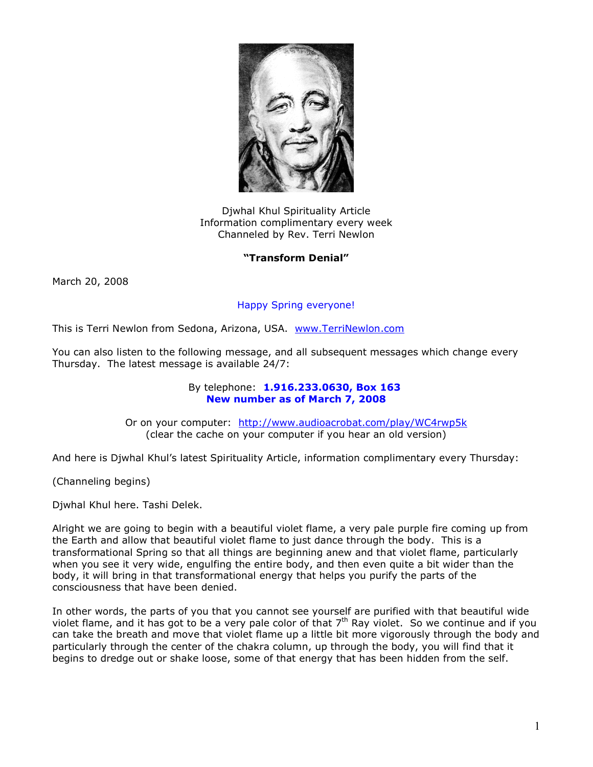

Djwhal Khul Spirituality Article Information complimentary every week Channeled by Rev. Terri Newlon

## **"Transform Denial"**

March 20, 2008

## Happy Spring everyone!

This is Terri Newlon from Sedona, Arizona, USA. [www.TerriNewlon.com](http://www.terrinewlon.com/)

You can also listen to the following message, and all subsequent messages which change every Thursday. The latest message is available 24/7:

## By telephone: **1.916.233.0630, Box 163 New number as of March 7, 2008**

Or on your computer: <http://www.audioacrobat.com/play/WC4rwp5k> (clear the cache on your computer if you hear an old version)

And here is Djwhal Khul's latest Spirituality Article, information complimentary every Thursday:

(Channeling begins)

Djwhal Khul here. Tashi Delek.

Alright we are going to begin with a beautiful violet flame, a very pale purple fire coming up from the Earth and allow that beautiful violet flame to just dance through the body. This is a transformational Spring so that all things are beginning anew and that violet flame, particularly when you see it very wide, engulfing the entire body, and then even quite a bit wider than the body, it will bring in that transformational energy that helps you purify the parts of the consciousness that have been denied.

In other words, the parts of you that you cannot see yourself are purified with that beautiful wide violet flame, and it has got to be a very pale color of that  $7<sup>th</sup>$  Ray violet. So we continue and if you can take the breath and move that violet flame up a little bit more vigorously through the body and particularly through the center of the chakra column, up through the body, you will find that it begins to dredge out or shake loose, some of that energy that has been hidden from the self.